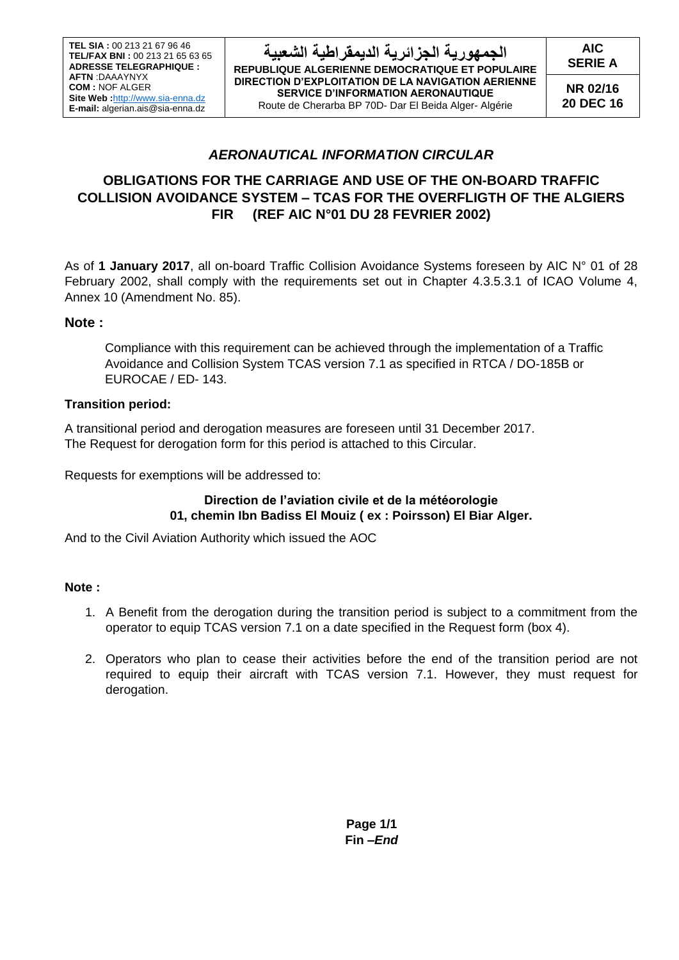**AIC SERIE A**

**NR 02/16 20 DEC 16**

## *AERONAUTICAL INFORMATION CIRCULAR*

# **OBLIGATIONS FOR THE CARRIAGE AND USE OF THE ON-BOARD TRAFFIC COLLISION AVOIDANCE SYSTEM – TCAS FOR THE OVERFLIGTH OF THE ALGIERS FIR (REF AIC N°01 DU 28 FEVRIER 2002)**

As of **1 January 2017**, all on-board Traffic Collision Avoidance Systems foreseen by AIC N° 01 of 28 February 2002, shall comply with the requirements set out in Chapter 4.3.5.3.1 of ICAO Volume 4, Annex 10 (Amendment No. 85).

### **Note :**

Compliance with this requirement can be achieved through the implementation of a Traffic Avoidance and Collision System TCAS version 7.1 as specified in RTCA / DO-185B or EUROCAE / ED- 143.

### **Transition period:**

A transitional period and derogation measures are foreseen until 31 December 2017. The Request for derogation form for this period is attached to this Circular.

Requests for exemptions will be addressed to:

### **Direction de l'aviation civile et de la météorologie 01, chemin Ibn Badiss El Mouiz ( ex : Poirsson) El Biar Alger.**

And to the Civil Aviation Authority which issued the AOC

#### **Note :**

- 1. A Benefit from the derogation during the transition period is subject to a commitment from the operator to equip TCAS version 7.1 on a date specified in the Request form (box 4).
- 2. Operators who plan to cease their activities before the end of the transition period are not required to equip their aircraft with TCAS version 7.1. However, they must request for derogation.

**Page 1/1 Fin –***End*